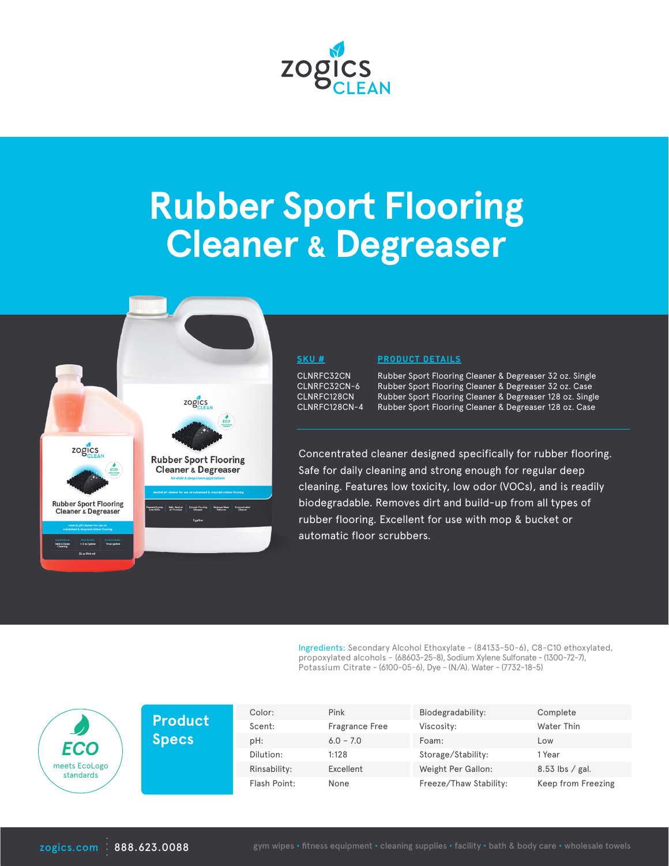

# **Rubber Sport Flooring Cleaner & Degreaser**



### **SKU #**

CLNRFC32CN CLNRFC32CN-6 CLNRFC128CN CLNRFC128CN-4

### **PRODUCT DETAILS**

Rubber Sport Flooring Cleaner & Degreaser 32 oz. Single Rubber Sport Flooring Cleaner & Degreaser 32 oz. Case Rubber Sport Flooring Cleaner & Degreaser 128 oz. Single Rubber Sport Flooring Cleaner & Degreaser 128 oz. Case

Concentrated cleaner designed specifically for rubber flooring. Safe for daily cleaning and strong enough for regular deep cleaning. Features low toxicity, low odor (VOCs), and is readily biodegradable. Removes dirt and build-up from all types of rubber flooring. Excellent for use with mop & bucket or automatic floor scrubbers.

Ingredients: Secondary Alcohol Ethoxylate - (84133-50-6), C8-C10 ethoxylated, propoxylated alcohols - (68603-25-8), Sodium Xylene Sulfonate - (1300-72-7), Potassium Citrate - (6100-05-6), Dye - (N/A). Water - (7732-18-5)

| <b>ECO</b><br>meets EcoLogo<br>standards | <b>Product</b> | Color:       | Pink                  | Biodegradability:      | Complete           |
|------------------------------------------|----------------|--------------|-----------------------|------------------------|--------------------|
|                                          |                | Scent:       | <b>Fragrance Free</b> | Viscosity:             | Water Thin         |
|                                          | Specs          | pH:          | $6.0 - 7.0$           | Foam:                  | Low                |
|                                          |                | Dilution:    | 1:128                 | Storage/Stability:     | 1 Year             |
|                                          |                | Rinsability: | Excellent             | Weight Per Gallon:     | $8.53$ lbs / gal.  |
|                                          |                | Flash Point: | None                  | Freeze/Thaw Stability: | Keep from Freezing |